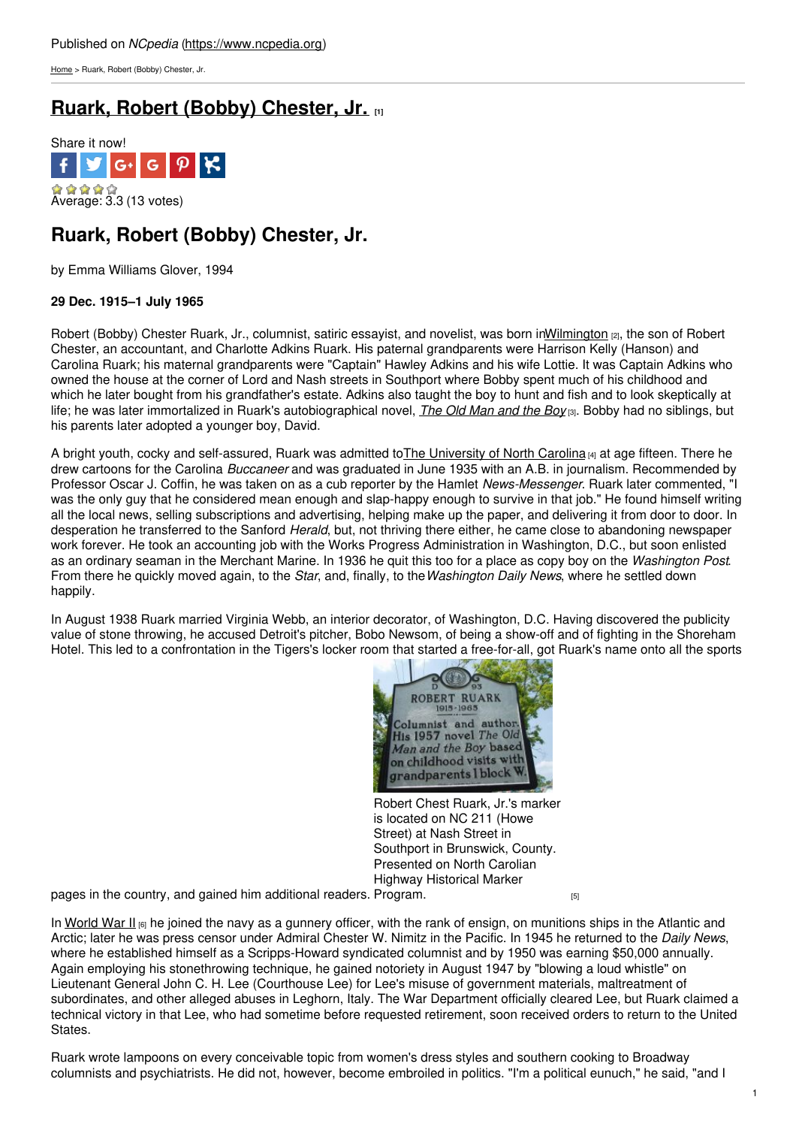[Home](https://www.ncpedia.org/) > Ruark, Robert (Bobby) Chester, Jr.

# **Ruark, Robert (Bobby) [Chester,](https://www.ncpedia.org/biography/ruark-robert-bobby) Jr. [1]**



## **Ruark, Robert (Bobby) Chester, Jr.**

by Emma Williams Glover, 1994

### **29 Dec. 1915–1 July 1965**

Robert (Bobby) Chester Ruark, Jr., columnist, satiric essayist, and novelist, was born i[nWilmington](https://www.ncpedia.org/geography/wilmington) [2], the son of Robert Chester, an accountant, and Charlotte Adkins Ruark. His paternal grandparents were Harrison Kelly (Hanson) and Carolina Ruark; his maternal grandparents were ["Captain](http://www.social9.com)" Hawley Adkins and his wife Lottie. It was Captain Adkins who owned the house at the corner of Lord and Nash streets in Southport where Bobby spent much of his childhood and which he later bought from his grandfather's estate. Adkins also taught the boy to hunt and fish and to look skeptically at life; he was later immortalized in Ruark's autobiographical novel, *The Old [Man](http://www.northcarolinahistory.org/encyclopedia/783/entry) and the Boy* [3]. Bobby had no siblings, but his parents later adopted a younger boy, David.

A bright youth, cocky and self-assured, Ruark was admitted to The [University](https://www.ncpedia.org/university-north-carolina-chapel-hi) of North Carolina [4] at age fifteen. There he drew cartoons for the Carolina *Buccaneer* and was graduated in June 1935 with an A.B. in journalism. Recommended by Professor Oscar J. Coffin, he was taken on as a cub reporter by the Hamlet *News-Messenger*. Ruark later commented, "I was the only guy that he considered mean enough and slap-happy enough to survive in that job." He found himself writing all the local news, selling subscriptions and advertising, helping make up the paper, and delivering it from door to door. In desperation he transferred to the Sanford *Herald*, but, not thriving there either, he came close to abandoning newspaper work forever. He took an accounting job with the Works Progress Administration in Washington, D.C., but soon enlisted as an ordinary seaman in the Merchant Marine. In 1936 he quit this too for a place as copy boy on the *Washington Post*. From there he quickly moved again, to the *Star*, and, finally, to the*Washington Daily News*, where he settled down happily.

In August 1938 Ruark married Virginia Webb, an interior decorator, of Washington, D.C. Having discovered the publicity value of stone throwing, he accused Detroit's pitcher, Bobo Newsom, of being a show-off and of fighting in the Shoreham Hotel. This led to a confrontation in the Tigers's locker room that started a free-for-all, got Ruark's name onto all the sports



Robert Chest Ruark, Jr.'s marker is located on NC 211 (Howe Street) at Nash Street in Southport in Brunswick, County. Presented on North Carolian Highway Historical Marker

pages in the country, and gained him additional readers. [Program.](https://www.ncdcr.gov/about/history/division-historical-resources/nc-highway-historical-marker-program/marker_photo.aspx?sf=a&id=D-93)  $_{\tiny{\text{[5]}}}$ 

In [World](http://www.history.com/topics/world-war-ii) War II [6] he joined the navy as a gunnery officer, with the rank of ensign, on munitions ships in the Atlantic and Arctic; later he was press censor under Admiral Chester W. Nimitz in the Pacific. In 1945 he returned to the *Daily News*, where he established himself as a Scripps-Howard syndicated columnist and by 1950 was earning \$50,000 annually. Again employing his stonethrowing technique, he gained notoriety in August 1947 by "blowing a loud whistle" on Lieutenant General John C. H. Lee (Courthouse Lee) for Lee's misuse of government materials, maltreatment of subordinates, and other alleged abuses in Leghorn, Italy. The War Department officially cleared Lee, but Ruark claimed a technical victory in that Lee, who had sometime before requested retirement, soon received orders to return to the United States.

Ruark wrote lampoons on every conceivable topic from women's dress styles and southern cooking to Broadway columnists and psychiatrists. He did not, however, become embroiled in politics. "I'm a political eunuch," he said, "and I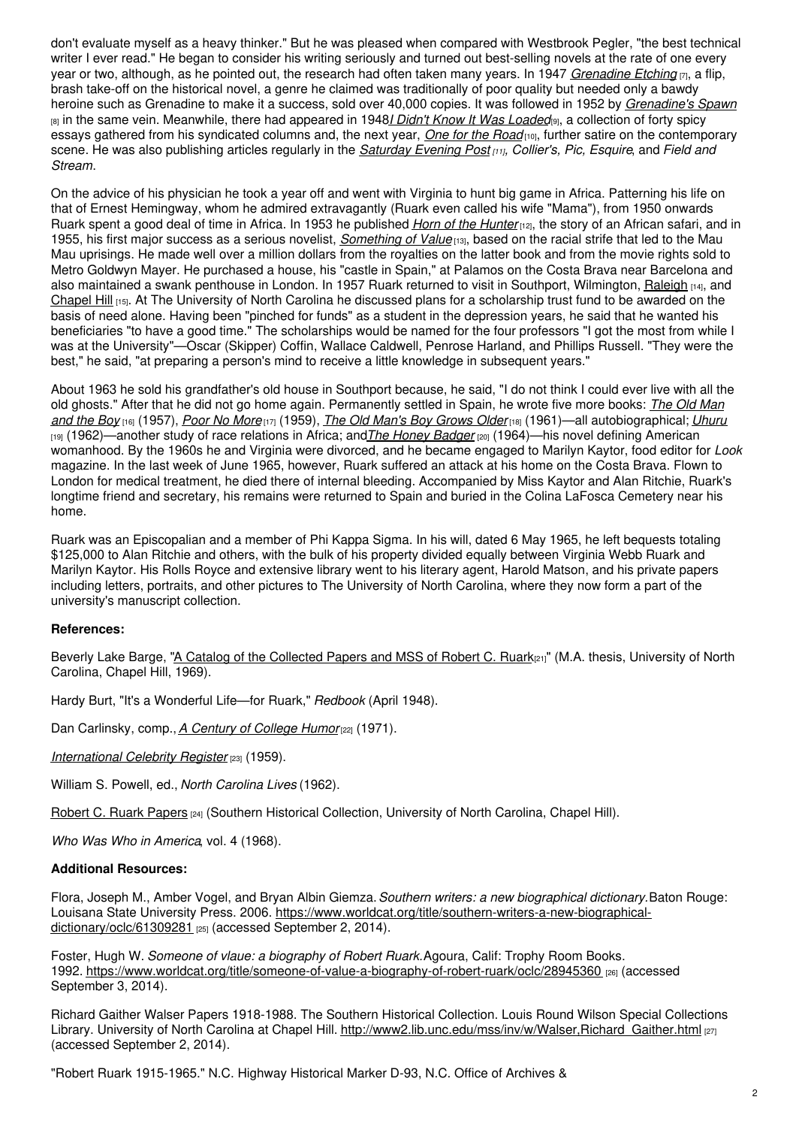don't evaluate myself as a heavy thinker." But he was pleased when compared with Westbrook Pegler, "the best technical writer I ever read." He began to consider his writing seriously and turned out best-selling novels at the rate of one every year or two, although, as he pointed out, the research had often taken many years. In 1947 *[Grenadine](https://www.worldcat.org/title/grenadine-etching-her-life-and-loves/oclc/1110767) Etching* [7], a flip, brash take-off on the historical novel, a genre he claimed was traditionally of poor quality but needed only a bawdy heroine such as Grenadine to make it a success, sold over 40,000 copies. It was followed in 1952 by *[Grenadine's](https://www.worldcat.org/title/grenadines-spawn/oclc/2411554) Spawn* [8] in the same vein. Meanwhile, there had appeared in 1948*I Didn't Know It Was [Loaded](https://www.worldcat.org/title/i-didnt-know-it-was-loaded-line-drawings-by-r-taylor/oclc/1245982)*[9], a collection of forty spicy essays gathered from his syndicated columns and, the next year, *One for the [Road](https://www.worldcat.org/title/one-for-the-road/oclc/1489376)* [10], further satire on the contemporary scene. He was also publishing articles regularly in the *[Saturday](http://catalog.hathitrust.org/Record/008573196) Evening Post [11], Collier's, Pic, Esquire*, and *Field and Stream*.

On the advice of his physician he took a year off and went with Virginia to hunt big game in Africa. Patterning his life on that of Ernest Hemingway, whom he admired extravagantly (Ruark even called his wife "Mama"), from 1950 onwards Ruark spent a good deal of time in Africa. In 1953 he published *Horn of the [Hunter](https://www.worldcat.org/title/horn-of-the-hunter/oclc/425007)*[12], the story of an African safari, and in 1955, his first major success as a serious novelist, *[Something](https://www.worldcat.org/title/something-of-value/oclc/271724) of Value* [13], based on the racial strife that led to the Mau Mau uprisings. He made well over a million dollars from the royalties on the latter book and from the movie rights sold to Metro Goldwyn Mayer. He purchased a house, his "castle in Spain," at Palamos on the Costa Brava near Barcelona and also maintained a swank penthouse in London. In 1957 Ruark returned to visit in Southport, Wilmington, [Raleigh](https://ncpedia.org/gazetteer/search/Raleigh) [14], and [Chapel](https://ncpedia.org/gazetteer/search/Chapel Hill) Hill [15]. At The University of North Carolina he discussed plans for a scholarship trust fund to be awarded on the basis of need alone. Having been "pinched for funds" as a student in the depression years, he said that he wanted his beneficiaries "to have a good time." The scholarships would be named for the four professors "I got the most from while I was at the University"—Oscar (Skipper) Coffin, Wallace Caldwell, Penrose Harland, and Phillips Russell. "They were the best," he said, "at preparing a person's mind to receive a little knowledge in subsequent years."

About 1963 he sold his grandfather's old house in Southport because, he said, "I do not think I could ever live with all the old ghosts." After that he did not go home again. Permanently settled in Spain, he wrote five more books: *The Old Man and the Boy* [16] (1957), *Poor No [More](https://www.worldcat.org/title/poor-no-more-a-novel/oclc/2062129)* [17] (1959), *The Old Man's Boy [Grows](https://archive.org/details/oldmansboygrowso002128mbp) Older*[18] (1961)—all [autobiographical;](https://www.worldcat.org/title/old-man-and-the-boy/oclc/285961) *[Uhuru](https://www.worldcat.org/title/uhuru-a-novel-of-africa-today/oclc/308309)* [19] (1962)—another study of race relations in Africa; and*The Honey [Badger](https://www.worldcat.org/title/honey-badger/oclc/285911)* [20] (1964)—his novel defining American womanhood. By the 1960s he and Virginia were divorced, and he became engaged to Marilyn Kaytor, food editor for *Look* magazine. In the last week of June 1965, however, Ruark suffered an attack at his home on the Costa Brava. Flown to London for medical treatment, he died there of internal bleeding. Accompanied by Miss Kaytor and Alan Ritchie, Ruark's longtime friend and secretary, his remains were returned to Spain and buried in the Colina LaFosca Cemetery near his home.

Ruark was an Episcopalian and a member of Phi Kappa Sigma. In his will, dated 6 May 1965, he left bequests totaling \$125,000 to Alan Ritchie and others, with the bulk of his property divided equally between Virginia Webb Ruark and Marilyn Kaytor. His Rolls Royce and extensive library went to his literary agent, Harold Matson, and his private papers including letters, portraits, and other pictures to The University of North Carolina, where they now form a part of the university's manuscript collection.

### **References:**

Beverly Lake Barge, "A Catalog of the [Collected](https://www.worldcat.org/title/catalog-of-the-collected-papers-and-manuscripts-of-robert-c-ruark/oclc/20649409) Papers and MSS of Robert C. Ruark[21]" (M.A. thesis, University of North Carolina, Chapel Hill, 1969).

Hardy Burt, "It's a Wonderful Life—for Ruark," *Redbook* (April 1948).

Dan Carlinsky, comp., *A [Century](https://www.worldcat.org/title/century-of-college-humor-cartoons-stories-poems-jokes-and-assorted-foolishness-from-over-95-campus-magazines/oclc/309309) of College Humor*[22] (1971).

*[International](https://www.worldcat.org/title/international-celebrity-register/oclc/17366986) Celebrity Register* [23] (1959).

William S. Powell, ed., *North Carolina Lives* (1962).

Robert C. Ruark [Papers](http://www2.lib.unc.edu/mss/inv/r/Ruark,Robert_Chester.html) [24] (Southern Historical Collection, University of North Carolina, Chapel Hill).

*Who Was Who in America*, vol. 4 (1968).

#### **Additional Resources:**

Flora, Joseph M., Amber Vogel, and Bryan Albin Giemza.*Southern writers: a new biographical dictionary.*Baton Rouge: Louisana State University Press. 2006. [https://www.worldcat.org/title/southern-writers-a-new-biographical](https://www.worldcat.org/title/southern-writers-a-new-biographical-dictionary/oclc/61309281)dictionary/oclc/61309281 [25] (accessed September 2, 2014).

Foster, Hugh W. *Someone of vlaue: a biography of Robert Ruark.*Agoura, Calif: Trophy Room Books. 1992. <https://www.worldcat.org/title/someone-of-value-a-biography-of-robert-ruark/oclc/28945360> [26] (accessed September 3, 2014).

Richard Gaither Walser Papers 1918-1988. The Southern Historical Collection. Louis Round Wilson Special Collections Library. University of North Carolina at Chapel Hill. [http://www2.lib.unc.edu/mss/inv/w/Walser,Richard\\_Gaither.html](http://www2.lib.unc.edu/mss/inv/w/Walser,Richard_Gaither.html) [27] (accessed September 2, 2014).

"Robert Ruark 1915-1965." N.C. Highway Historical Marker D-93, N.C. Office of Archives &